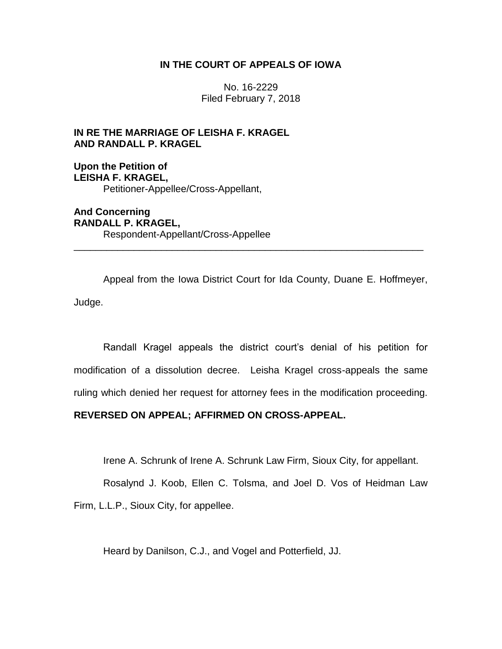# **IN THE COURT OF APPEALS OF IOWA**

No. 16-2229 Filed February 7, 2018

# **IN RE THE MARRIAGE OF LEISHA F. KRAGEL AND RANDALL P. KRAGEL**

**Upon the Petition of LEISHA F. KRAGEL,** Petitioner-Appellee/Cross-Appellant,

**And Concerning RANDALL P. KRAGEL,** Respondent-Appellant/Cross-Appellee

Appeal from the Iowa District Court for Ida County, Duane E. Hoffmeyer, Judge.

\_\_\_\_\_\_\_\_\_\_\_\_\_\_\_\_\_\_\_\_\_\_\_\_\_\_\_\_\_\_\_\_\_\_\_\_\_\_\_\_\_\_\_\_\_\_\_\_\_\_\_\_\_\_\_\_\_\_\_\_\_\_\_\_

Randall Kragel appeals the district court's denial of his petition for modification of a dissolution decree. Leisha Kragel cross-appeals the same ruling which denied her request for attorney fees in the modification proceeding.

# **REVERSED ON APPEAL; AFFIRMED ON CROSS-APPEAL.**

Irene A. Schrunk of Irene A. Schrunk Law Firm, Sioux City, for appellant.

Rosalynd J. Koob, Ellen C. Tolsma, and Joel D. Vos of Heidman Law Firm, L.L.P., Sioux City, for appellee.

Heard by Danilson, C.J., and Vogel and Potterfield, JJ.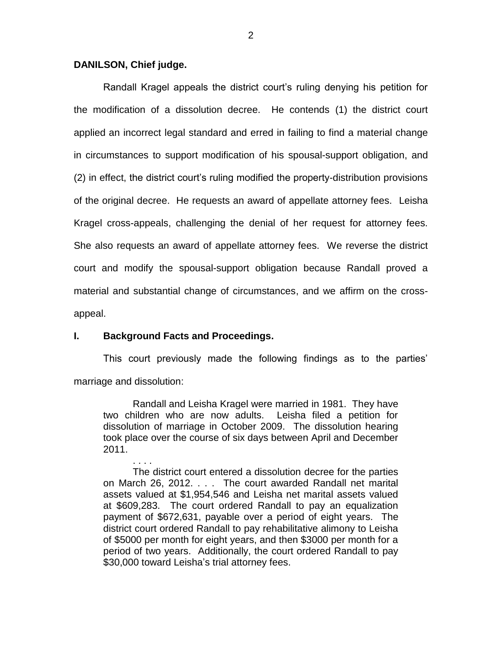## **DANILSON, Chief judge.**

Randall Kragel appeals the district court's ruling denying his petition for the modification of a dissolution decree. He contends (1) the district court applied an incorrect legal standard and erred in failing to find a material change in circumstances to support modification of his spousal-support obligation, and (2) in effect, the district court's ruling modified the property-distribution provisions of the original decree. He requests an award of appellate attorney fees. Leisha Kragel cross-appeals, challenging the denial of her request for attorney fees. She also requests an award of appellate attorney fees. We reverse the district court and modify the spousal-support obligation because Randall proved a material and substantial change of circumstances, and we affirm on the crossappeal.

# **I. Background Facts and Proceedings.**

This court previously made the following findings as to the parties' marriage and dissolution:

Randall and Leisha Kragel were married in 1981. They have two children who are now adults. Leisha filed a petition for dissolution of marriage in October 2009. The dissolution hearing took place over the course of six days between April and December 2011.

. . . . The district court entered a dissolution decree for the parties on March 26, 2012. . . . The court awarded Randall net marital assets valued at \$1,954,546 and Leisha net marital assets valued at \$609,283. The court ordered Randall to pay an equalization payment of \$672,631, payable over a period of eight years. The district court ordered Randall to pay rehabilitative alimony to Leisha of \$5000 per month for eight years, and then \$3000 per month for a period of two years. Additionally, the court ordered Randall to pay \$30,000 toward Leisha's trial attorney fees.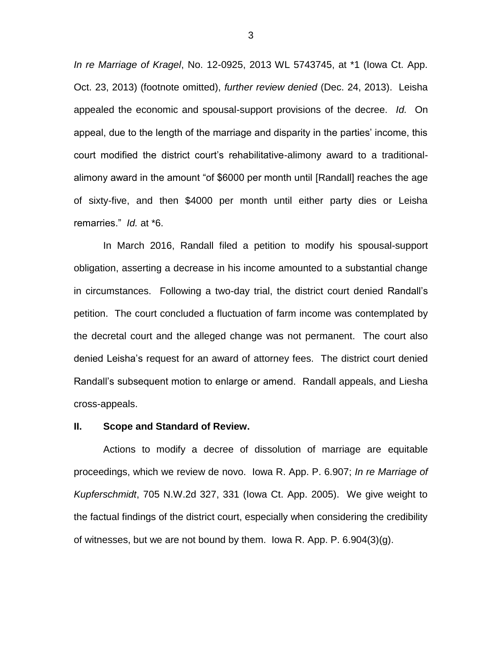*In re Marriage of Kragel*, No. 12-0925, 2013 WL 5743745, at \*1 (Iowa Ct. App. Oct. 23, 2013) (footnote omitted), *further review denied* (Dec. 24, 2013). Leisha appealed the economic and spousal-support provisions of the decree. *Id.* On appeal, due to the length of the marriage and disparity in the parties' income, this court modified the district court's rehabilitative-alimony award to a traditionalalimony award in the amount "of \$6000 per month until [Randall] reaches the age of sixty-five, and then \$4000 per month until either party dies or Leisha remarries." *Id.* at \*6.

In March 2016, Randall filed a petition to modify his spousal-support obligation, asserting a decrease in his income amounted to a substantial change in circumstances. Following a two-day trial, the district court denied Randall's petition. The court concluded a fluctuation of farm income was contemplated by the decretal court and the alleged change was not permanent. The court also denied Leisha's request for an award of attorney fees. The district court denied Randall's subsequent motion to enlarge or amend. Randall appeals, and Liesha cross-appeals.

#### **II. Scope and Standard of Review.**

Actions to modify a decree of dissolution of marriage are equitable proceedings, which we review de novo. Iowa R. App. P. 6.907; *In re Marriage of Kupferschmidt*, 705 N.W.2d 327, 331 (Iowa Ct. App. 2005). We give weight to the factual findings of the district court, especially when considering the credibility of witnesses, but we are not bound by them. Iowa R. App. P. 6.904(3)(g).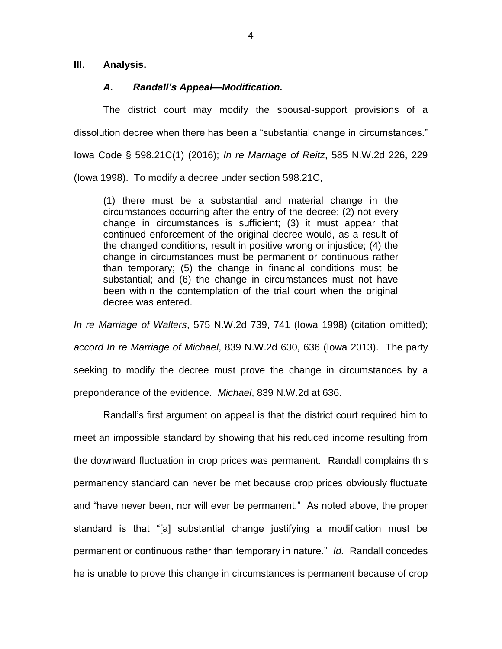**III. Analysis.**

# *A. Randall's Appeal—Modification.*

The district court may modify the spousal-support provisions of a dissolution decree when there has been a "substantial change in circumstances." Iowa Code § 598.21C(1) (2016); *In re Marriage of Reitz*, 585 N.W.2d 226, 229 (Iowa 1998). To modify a decree under section 598.21C,

(1) there must be a substantial and material change in the circumstances occurring after the entry of the decree; (2) not every change in circumstances is sufficient; (3) it must appear that continued enforcement of the original decree would, as a result of the changed conditions, result in positive wrong or injustice; (4) the change in circumstances must be permanent or continuous rather than temporary; (5) the change in financial conditions must be substantial; and (6) the change in circumstances must not have been within the contemplation of the trial court when the original decree was entered.

*In re Marriage of Walters*, 575 N.W.2d 739, 741 (Iowa 1998) (citation omitted); *accord In re Marriage of Michael*, 839 N.W.2d 630, 636 (Iowa 2013). The party seeking to modify the decree must prove the change in circumstances by a preponderance of the evidence. *Michael*, 839 N.W.2d at 636.

Randall's first argument on appeal is that the district court required him to meet an impossible standard by showing that his reduced income resulting from the downward fluctuation in crop prices was permanent. Randall complains this permanency standard can never be met because crop prices obviously fluctuate and "have never been, nor will ever be permanent." As noted above, the proper standard is that "[a] substantial change justifying a modification must be permanent or continuous rather than temporary in nature." *Id.* Randall concedes he is unable to prove this change in circumstances is permanent because of crop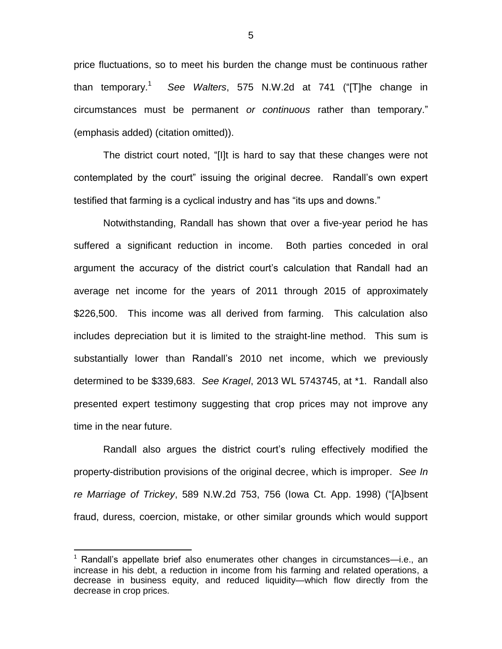price fluctuations, so to meet his burden the change must be continuous rather than temporary.<sup>1</sup> *See Walters*, 575 N.W.2d at 741 ("[T]he change in circumstances must be permanent *or continuous* rather than temporary." (emphasis added) (citation omitted)).

The district court noted, "[I]t is hard to say that these changes were not contemplated by the court" issuing the original decree. Randall's own expert testified that farming is a cyclical industry and has "its ups and downs."

Notwithstanding, Randall has shown that over a five-year period he has suffered a significant reduction in income. Both parties conceded in oral argument the accuracy of the district court's calculation that Randall had an average net income for the years of 2011 through 2015 of approximately \$226,500. This income was all derived from farming. This calculation also includes depreciation but it is limited to the straight-line method. This sum is substantially lower than Randall's 2010 net income, which we previously determined to be \$339,683. *See Kragel*, 2013 WL 5743745, at \*1. Randall also presented expert testimony suggesting that crop prices may not improve any time in the near future.

Randall also argues the district court's ruling effectively modified the property-distribution provisions of the original decree, which is improper. *See In re Marriage of Trickey*, 589 N.W.2d 753, 756 (Iowa Ct. App. 1998) ("[A]bsent fraud, duress, coercion, mistake, or other similar grounds which would support

 $\overline{a}$ 

<sup>&</sup>lt;sup>1</sup> Randall's appellate brief also enumerates other changes in circumstances—i.e., an increase in his debt, a reduction in income from his farming and related operations, a decrease in business equity, and reduced liquidity—which flow directly from the decrease in crop prices.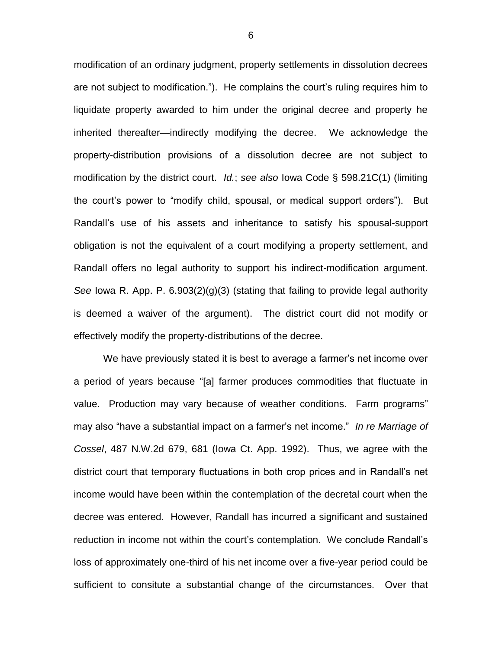modification of an ordinary judgment, property settlements in dissolution decrees are not subject to modification."). He complains the court's ruling requires him to liquidate property awarded to him under the original decree and property he inherited thereafter—indirectly modifying the decree. We acknowledge the property-distribution provisions of a dissolution decree are not subject to modification by the district court. *Id.*; *see also* Iowa Code § 598.21C(1) (limiting the court's power to "modify child, spousal, or medical support orders"). But Randall's use of his assets and inheritance to satisfy his spousal-support obligation is not the equivalent of a court modifying a property settlement, and Randall offers no legal authority to support his indirect-modification argument. *See* Iowa R. App. P. 6.903(2)(g)(3) (stating that failing to provide legal authority is deemed a waiver of the argument). The district court did not modify or effectively modify the property-distributions of the decree.

We have previously stated it is best to average a farmer's net income over a period of years because "[a] farmer produces commodities that fluctuate in value. Production may vary because of weather conditions. Farm programs" may also "have a substantial impact on a farmer's net income." *In re Marriage of Cossel*, 487 N.W.2d 679, 681 (Iowa Ct. App. 1992). Thus, we agree with the district court that temporary fluctuations in both crop prices and in Randall's net income would have been within the contemplation of the decretal court when the decree was entered. However, Randall has incurred a significant and sustained reduction in income not within the court's contemplation. We conclude Randall's loss of approximately one-third of his net income over a five-year period could be sufficient to consitute a substantial change of the circumstances. Over that

6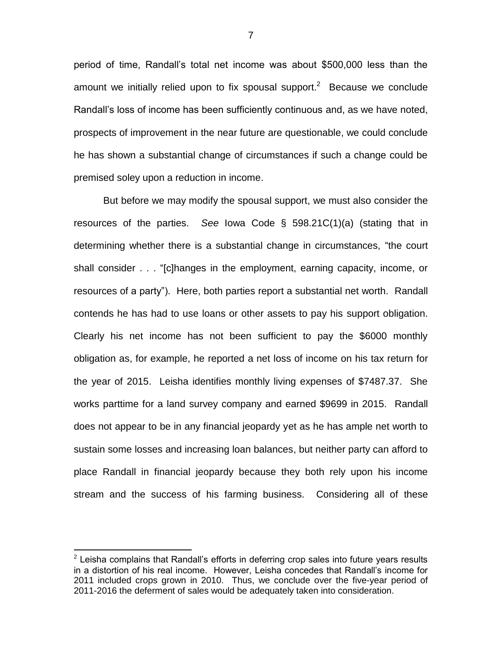period of time, Randall's total net income was about \$500,000 less than the amount we initially relied upon to fix spousal support.<sup>2</sup> Because we conclude Randall's loss of income has been sufficiently continuous and, as we have noted, prospects of improvement in the near future are questionable, we could conclude he has shown a substantial change of circumstances if such a change could be premised soley upon a reduction in income.

But before we may modify the spousal support, we must also consider the resources of the parties. *See* Iowa Code § 598.21C(1)(a) (stating that in determining whether there is a substantial change in circumstances, "the court shall consider . . . "[c]hanges in the employment, earning capacity, income, or resources of a party"). Here, both parties report a substantial net worth. Randall contends he has had to use loans or other assets to pay his support obligation. Clearly his net income has not been sufficient to pay the \$6000 monthly obligation as, for example, he reported a net loss of income on his tax return for the year of 2015. Leisha identifies monthly living expenses of \$7487.37. She works parttime for a land survey company and earned \$9699 in 2015. Randall does not appear to be in any financial jeopardy yet as he has ample net worth to sustain some losses and increasing loan balances, but neither party can afford to place Randall in financial jeopardy because they both rely upon his income stream and the success of his farming business. Considering all of these

 $\overline{a}$ 

7

 $2$  Leisha complains that Randall's efforts in deferring crop sales into future years results in a distortion of his real income. However, Leisha concedes that Randall's income for 2011 included crops grown in 2010. Thus, we conclude over the five-year period of 2011-2016 the deferment of sales would be adequately taken into consideration.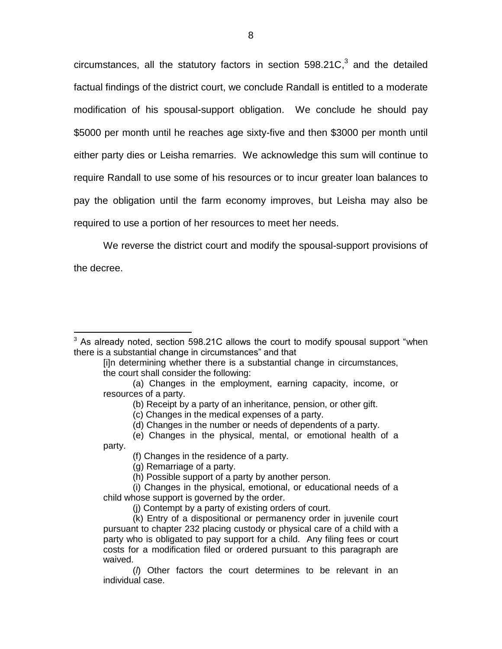circumstances, all the statutory factors in section  $598.21C$ ,<sup>3</sup> and the detailed factual findings of the district court, we conclude Randall is entitled to a moderate modification of his spousal-support obligation. We conclude he should pay \$5000 per month until he reaches age sixty-five and then \$3000 per month until either party dies or Leisha remarries. We acknowledge this sum will continue to require Randall to use some of his resources or to incur greater loan balances to pay the obligation until the farm economy improves, but Leisha may also be required to use a portion of her resources to meet her needs.

We reverse the district court and modify the spousal-support provisions of

the decree.

 $\overline{a}$ 

party.

<sup>&</sup>lt;sup>3</sup> As already noted, section 598.21C allows the court to modify spousal support "when there is a substantial change in circumstances" and that

<sup>[</sup>i]n determining whether there is a substantial change in circumstances, the court shall consider the following:

<sup>(</sup>a) Changes in the employment, earning capacity, income, or resources of a party.

<sup>(</sup>b) Receipt by a party of an inheritance, pension, or other gift.

<sup>(</sup>c) Changes in the medical expenses of a party.

<sup>(</sup>d) Changes in the number or needs of dependents of a party.

<sup>(</sup>e) Changes in the physical, mental, or emotional health of a

<sup>(</sup>f) Changes in the residence of a party.

<sup>(</sup>g) Remarriage of a party.

<sup>(</sup>h) Possible support of a party by another person.

<sup>(</sup>i) Changes in the physical, emotional, or educational needs of a child whose support is governed by the order.

<sup>(</sup>j) Contempt by a party of existing orders of court.

<sup>(</sup>k) Entry of a dispositional or permanency order in juvenile court pursuant to chapter 232 placing custody or physical care of a child with a party who is obligated to pay support for a child. Any filing fees or court costs for a modification filed or ordered pursuant to this paragraph are waived.

<sup>(</sup>*l*) Other factors the court determines to be relevant in an individual case.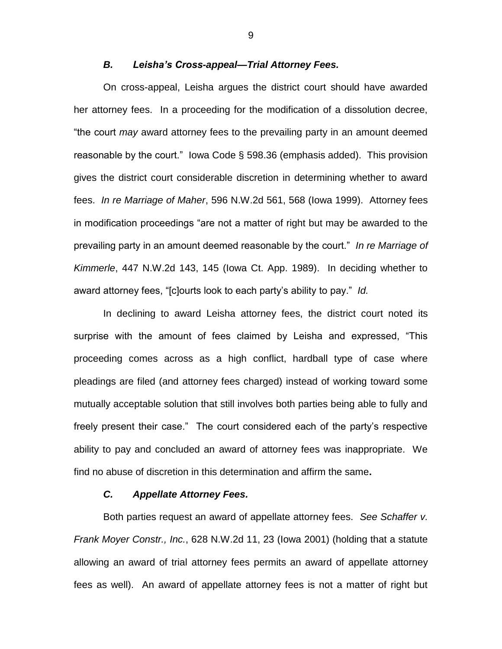## *B. Leisha's Cross-appeal—Trial Attorney Fees.*

On cross-appeal, Leisha argues the district court should have awarded her attorney fees. In a proceeding for the modification of a dissolution decree, "the court *may* award attorney fees to the prevailing party in an amount deemed reasonable by the court." Iowa Code § 598.36 (emphasis added). This provision gives the district court considerable discretion in determining whether to award fees. *In re Marriage of Maher*, 596 N.W.2d 561, 568 (Iowa 1999). Attorney fees in modification proceedings "are not a matter of right but may be awarded to the prevailing party in an amount deemed reasonable by the court." *In re Marriage of Kimmerle*, 447 N.W.2d 143, 145 (Iowa Ct. App. 1989). In deciding whether to award attorney fees, "[c]ourts look to each party's ability to pay." *Id.*

In declining to award Leisha attorney fees, the district court noted its surprise with the amount of fees claimed by Leisha and expressed, "This proceeding comes across as a high conflict, hardball type of case where pleadings are filed (and attorney fees charged) instead of working toward some mutually acceptable solution that still involves both parties being able to fully and freely present their case." The court considered each of the party's respective ability to pay and concluded an award of attorney fees was inappropriate. We find no abuse of discretion in this determination and affirm the same**.**

## *C. Appellate Attorney Fees.*

Both parties request an award of appellate attorney fees. *See Schaffer v. Frank Moyer Constr., Inc.*, 628 N.W.2d 11, 23 (Iowa 2001) (holding that a statute allowing an award of trial attorney fees permits an award of appellate attorney fees as well). An award of appellate attorney fees is not a matter of right but

9